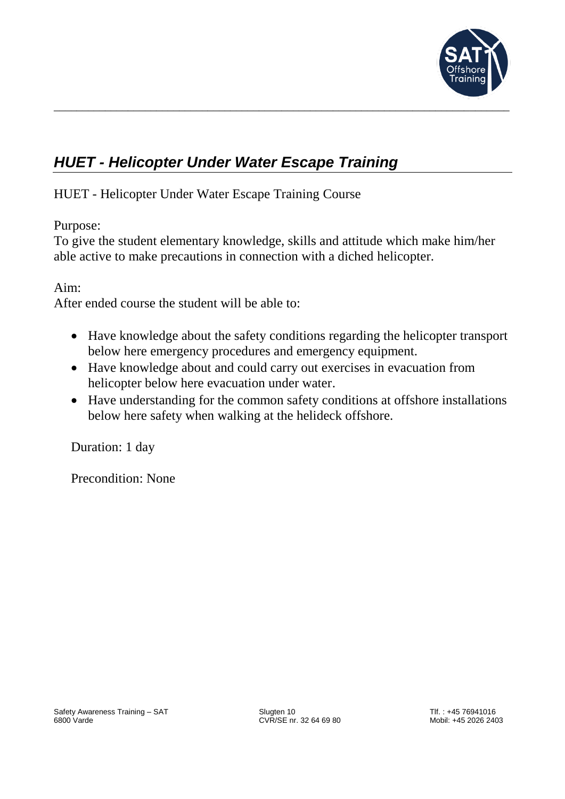

# *HUET - Helicopter Under Water Escape Training*

HUET - Helicopter Under Water Escape Training Course

Purpose:

To give the student elementary knowledge, skills and attitude which make him/her able active to make precautions in connection with a diched helicopter.

\_\_\_\_\_\_\_\_\_\_\_\_\_\_\_\_\_\_\_\_\_\_\_\_\_\_\_\_\_\_\_\_\_\_\_\_\_\_\_\_\_\_\_\_\_\_\_\_\_\_\_\_\_\_\_\_\_\_\_\_\_\_\_\_\_\_\_\_\_\_\_\_\_\_\_\_\_\_\_\_

Aim:

After ended course the student will be able to:

- Have knowledge about the safety conditions regarding the helicopter transport below here emergency procedures and emergency equipment.
- Have knowledge about and could carry out exercises in evacuation from helicopter below here evacuation under water.
- Have understanding for the common safety conditions at offshore installations below here safety when walking at the helideck offshore.

Duration: 1 day

Precondition: None